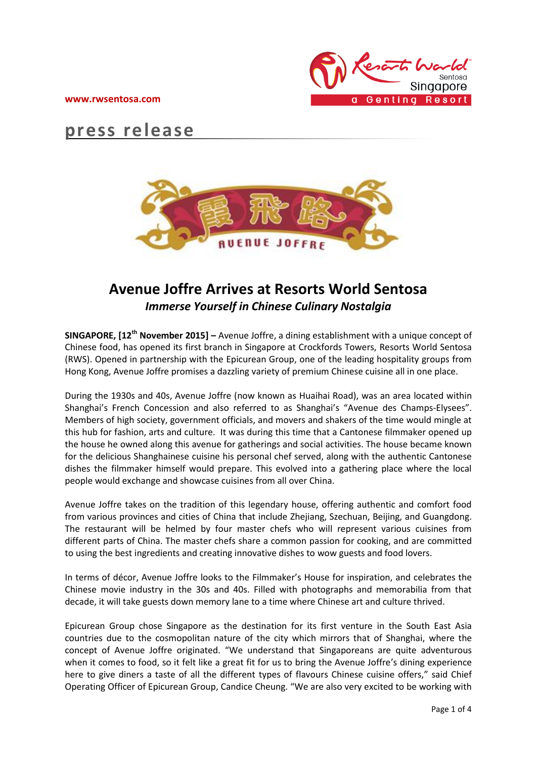



# **press release**



## **Avenue Joffre Arrives at Resorts World Sentosa** *Immerse Yourself in Chinese Culinary Nostalgia*

**SINGAPORE, [12 th November 2015] –** Avenue Joffre, a dining establishment with a unique concept of Chinese food, has opened its first branch in Singapore at Crockfords Towers, Resorts World Sentosa (RWS). Opened in partnership with the Epicurean Group, one of the leading hospitality groups from Hong Kong, Avenue Joffre promises a dazzling variety of premium Chinese cuisine all in one place.

During the 1930s and 40s, Avenue Joffre (now known as Huaihai Road), was an area located within Shanghai's French Concession and also referred to as Shanghai's "Avenue des Champs-Elysees". Members of high society, government officials, and movers and shakers of the time would mingle at this hub for fashion, arts and culture. It was during this time that a Cantonese filmmaker opened up the house he owned along this avenue for gatherings and social activities. The house became known for the delicious Shanghainese cuisine his personal chef served, along with the authentic Cantonese dishes the filmmaker himself would prepare. This evolved into a gathering place where the local people would exchange and showcase cuisines from all over China.

Avenue Joffre takes on the tradition of this legendary house, offering authentic and comfort food from various provinces and cities of China that include Zhejiang, Szechuan, Beijing, and Guangdong. The restaurant will be helmed by four master chefs who will represent various cuisines from different parts of China. The master chefs share a common passion for cooking, and are committed to using the best ingredients and creating innovative dishes to wow guests and food lovers.

In terms of décor, Avenue Joffre looks to the Filmmaker's House for inspiration, and celebrates the Chinese movie industry in the 30s and 40s. Filled with photographs and memorabilia from that decade, it will take guests down memory lane to a time where Chinese art and culture thrived.

Epicurean Group chose Singapore as the destination for its first venture in the South East Asia countries due to the cosmopolitan nature of the city which mirrors that of Shanghai, where the concept of Avenue Joffre originated. "We understand that Singaporeans are quite adventurous when it comes to food, so it felt like a great fit for us to bring the Avenue Joffre's dining experience here to give diners a taste of all the different types of flavours Chinese cuisine offers," said Chief Operating Officer of Epicurean Group, Candice Cheung. "We are also very excited to be working with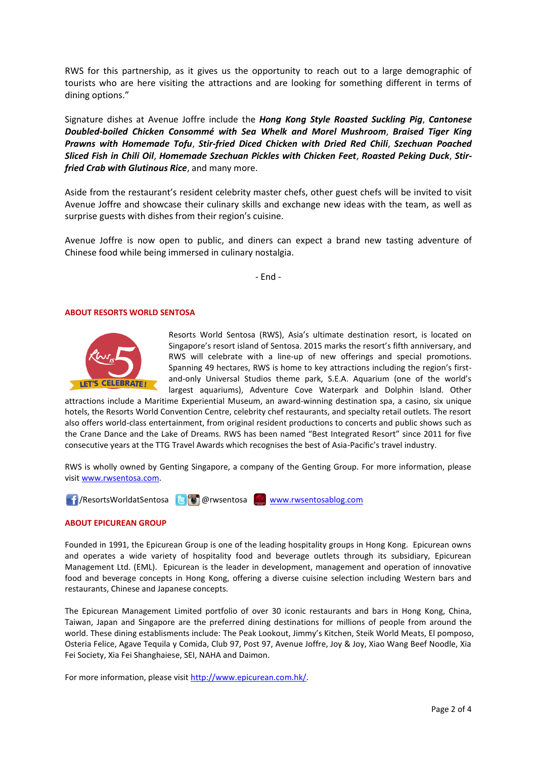RWS for this partnership, as it gives us the opportunity to reach out to a large demographic of tourists who are here visiting the attractions and are looking for something different in terms of dining options."

Signature dishes at Avenue Joffre include the *Hong Kong Style Roasted Suckling Pig*, *Cantonese Doubled-boiled Chicken Consommé with Sea Whelk and Morel Mushroom*, *Braised Tiger King Prawns with Homemade Tofu*, *Stir-fried Diced Chicken with Dried Red Chili*, *Szechuan Poached Sliced Fish in Chili Oil*, *Homemade Szechuan Pickles with Chicken Feet*, *Roasted Peking Duck*, *Stirfried Crab with Glutinous Rice*, and many more.

Aside from the restaurant's resident celebrity master chefs, other guest chefs will be invited to visit Avenue Joffre and showcase their culinary skills and exchange new ideas with the team, as well as surprise guests with dishes from their region's cuisine.

Avenue Joffre is now open to public, and diners can expect a brand new tasting adventure of Chinese food while being immersed in culinary nostalgia.

- End -

#### **ABOUT RESORTS WORLD SENTOSA**



Resorts World Sentosa (RWS), Asia's ultimate destination resort, is located on Singapore's resort island of Sentosa. 2015 marks the resort's fifth anniversary, and RWS will celebrate with a line-up of new offerings and special promotions. Spanning 49 hectares, RWS is home to key attractions including the region's firstand-only Universal Studios theme park, S.E.A. Aquarium (one of the world's largest aquariums), Adventure Cove Waterpark and Dolphin Island. Other

attractions include a Maritime Experiential Museum, an award-winning destination spa, a casino, six unique hotels, the Resorts World Convention Centre, celebrity chef restaurants, and specialty retail outlets. The resort also offers world-class entertainment, from original resident productions to concerts and public shows such as the Crane Dance and the Lake of Dreams. RWS has been named "Best Integrated Resort" since 2011 for five consecutive years at the TTG Travel Awards which recognises the best of Asia-Pacific's travel industry.

RWS is wholly owned by Genting Singapore, a company of the Genting Group. For more information, please visit [www.rwsentosa.com.](http://www.rwsentosa.com/)

1 / ResortsWorldatSentosa **& @**rwsentosa [www.rwsentosablog.com](http://www.rwsentosablog.com/)

#### **ABOUT EPICUREAN GROUP**

Founded in 1991, the Epicurean Group is one of the leading hospitality groups in Hong Kong. Epicurean owns and operates a wide variety of hospitality food and beverage outlets through its subsidiary, Epicurean Management Ltd. (EML). Epicurean is the leader in development, management and operation of innovative food and beverage concepts in Hong Kong, offering a diverse cuisine selection including Western bars and restaurants, Chinese and Japanese concepts.

The Epicurean Management Limited portfolio of over 30 iconic restaurants and bars in Hong Kong, China, Taiwan, Japan and Singapore are the preferred dining destinations for millions of people from around the world. These dining establisments include: The Peak Lookout, Jimmy's Kitchen, Steik World Meats, El pomposo, Osteria Felice, Agave Tequila y Comida, Club 97, Post 97, Avenue Joffre, Joy & Joy, Xiao Wang Beef Noodle, Xia Fei Society, Xia Fei Shanghaiese, SEI, NAHA and Daimon.

For more information, please visit [http://www.epicurean.com.hk/.](http://www.epicurean.com.hk/)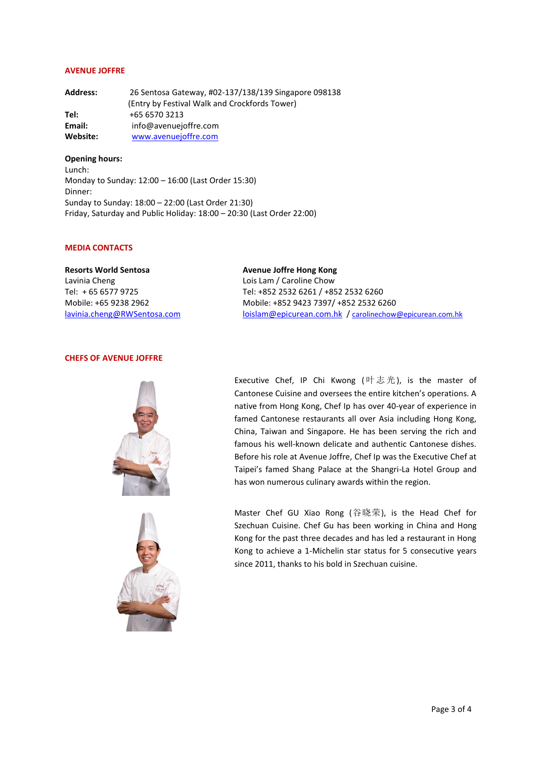#### **AVENUE JOFFRE**

**Address:** 26 Sentosa Gateway, #02-137/138/139 Singapore 098138 (Entry by Festival Walk and Crockfords Tower) **Tel:** +65 6570 3213 **Email:** info@avenuejoffre.com **Website:** [www.avenuejoffre.com](http://www.avenuejoffre.com/)

**Opening hours:** Lunch: Monday to Sunday: 12:00 – 16:00 (Last Order 15:30) Dinner: Sunday to Sunday: 18:00 – 22:00 (Last Order 21:30) Friday, Saturday and Public Holiday: 18:00 – 20:30 (Last Order 22:00)

#### **MEDIA CONTACTS**

**Resorts World Sentosa** Lavinia Cheng Tel: + 65 6577 9725 Mobile: +65 9238 2962 [lavinia.cheng@RWSentosa.com](mailto:lavinia.cheng@RWSentosa.com) **Avenue Joffre Hong Kong** Lois Lam / Caroline Chow Tel: +852 2532 6261 / +852 2532 6260 Mobile: +852 9423 7397/ +852 2532 6260 [loislam@epicurean.com.hk](mailto:loislam@epicurean.com.hk) / [carolinechow@epicurean.com.hk](mailto:carolinechow@epicurean.com.hk)

### **CHEFS OF AVENUE JOFFRE**





Executive Chef, IP Chi Kwong (叶志光), is the master of Cantonese Cuisine and oversees the entire kitchen's operations. A native from Hong Kong, Chef Ip has over 40-year of experience in famed Cantonese restaurants all over Asia including Hong Kong, China, Taiwan and Singapore. He has been serving the rich and famous his well-known delicate and authentic Cantonese dishes. Before his role at Avenue Joffre, Chef Ip was the Executive Chef at Taipei's famed Shang Palace at the Shangri-La Hotel Group and has won numerous culinary awards within the region.

Master Chef GU Xiao Rong (谷晓荣), is the Head Chef for Szechuan Cuisine. Chef Gu has been working in China and Hong Kong for the past three decades and has led a restaurant in Hong Kong to achieve a 1-Michelin star status for 5 consecutive years since 2011, thanks to his bold in Szechuan cuisine.